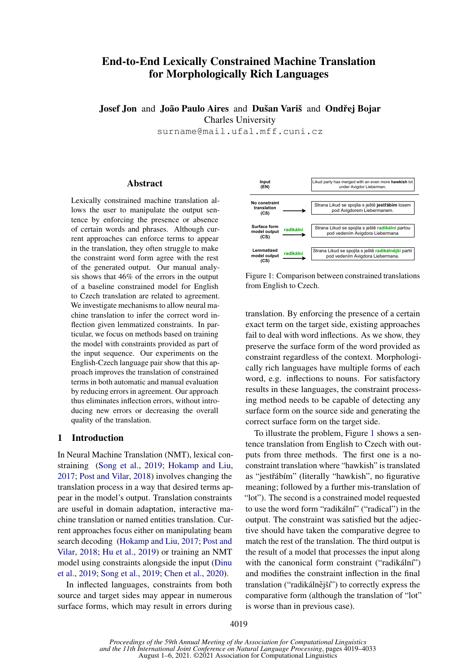# End-to-End Lexically Constrained Machine Translation for Morphologically Rich Languages

Josef Jon and João Paulo Aires and Dušan Variš and Ondřej Bojar Charles University

surname@mail.ufal.mff.cuni.cz

## Abstract

Lexically constrained machine translation allows the user to manipulate the output sentence by enforcing the presence or absence of certain words and phrases. Although current approaches can enforce terms to appear in the translation, they often struggle to make the constraint word form agree with the rest of the generated output. Our manual analysis shows that 46% of the errors in the output of a baseline constrained model for English to Czech translation are related to agreement. We investigate mechanisms to allow neural machine translation to infer the correct word inflection given lemmatized constraints. In particular, we focus on methods based on training the model with constraints provided as part of the input sequence. Our experiments on the English-Czech language pair show that this approach improves the translation of constrained terms in both automatic and manual evaluation by reducing errors in agreement. Our approach thus eliminates inflection errors, without introducing new errors or decreasing the overall quality of the translation.

## 1 Introduction

In Neural Machine Translation (NMT), lexical constraining [\(Song et al.,](#page-10-0) [2019;](#page-10-0) [Hokamp and Liu,](#page-9-0) [2017;](#page-9-0) [Post and Vilar,](#page-10-1) [2018\)](#page-10-1) involves changing the translation process in a way that desired terms appear in the model's output. Translation constraints are useful in domain adaptation, interactive machine translation or named entities translation. Current approaches focus either on manipulating beam search decoding [\(Hokamp and Liu,](#page-9-0) [2017;](#page-9-0) [Post and](#page-10-1) [Vilar,](#page-10-1) [2018;](#page-10-1) [Hu et al.,](#page-9-1) [2019\)](#page-9-1) or training an NMT model using constraints alongside the input [\(Dinu](#page-9-2) [et al.,](#page-9-2) [2019;](#page-9-2) [Song et al.,](#page-10-0) [2019;](#page-10-0) [Chen et al.,](#page-9-3) [2020\)](#page-9-3).

In inflected languages, constraints from both source and target sides may appear in numerous surface forms, which may result in errors during

<span id="page-0-0"></span>

Figure 1: Comparison between constrained translations from English to Czech.

translation. By enforcing the presence of a certain exact term on the target side, existing approaches fail to deal with word inflections. As we show, they preserve the surface form of the word provided as constraint regardless of the context. Morphologically rich languages have multiple forms of each word, e.g. inflections to nouns. For satisfactory results in these languages, the constraint processing method needs to be capable of detecting any surface form on the source side and generating the correct surface form on the target side.

To illustrate the problem, Figure [1](#page-0-0) shows a sentence translation from English to Czech with outputs from three methods. The first one is a noconstraint translation where "hawkish" is translated as "jestřábím" (literally "hawkish", no figurative meaning; followed by a further mis-translation of "lot"). The second is a constrained model requested to use the word form "radikální" ("radical") in the output. The constraint was satisfied but the adjective should have taken the comparative degree to match the rest of the translation. The third output is the result of a model that processes the input along with the canonical form constraint ("radikální") and modifies the constraint inflection in the final translation ("radikálnější") to correctly express the comparative form (although the translation of "lot" is worse than in previous case).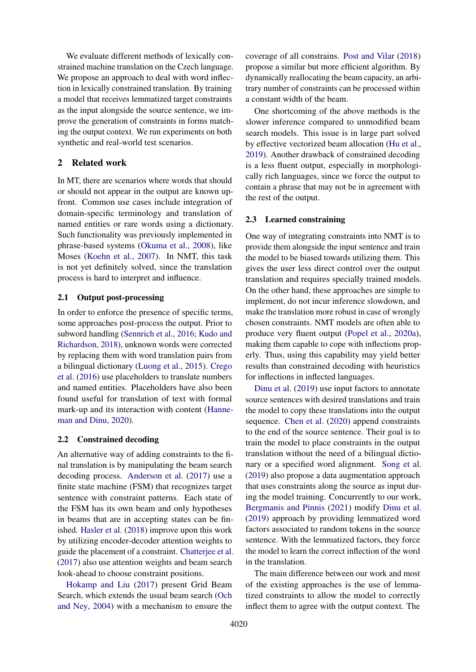We evaluate different methods of lexically constrained machine translation on the Czech language. We propose an approach to deal with word inflection in lexically constrained translation. By training a model that receives lemmatized target constraints as the input alongside the source sentence, we improve the generation of constraints in forms matching the output context. We run experiments on both synthetic and real-world test scenarios.

## 2 Related work

In MT, there are scenarios where words that should or should not appear in the output are known upfront. Common use cases include integration of domain-specific terminology and translation of named entities or rare words using a dictionary. Such functionality was previously implemented in phrase-based systems [\(Okuma et al.,](#page-10-2) [2008\)](#page-10-2), like Moses [\(Koehn et al.,](#page-9-4) [2007\)](#page-9-4). In NMT, this task is not yet definitely solved, since the translation process is hard to interpret and influence.

### 2.1 Output post-processing

In order to enforce the presence of specific terms, some approaches post-process the output. Prior to subword handling [\(Sennrich et al.,](#page-10-3) [2016;](#page-10-3) [Kudo and](#page-10-4) [Richardson,](#page-10-4) [2018\)](#page-10-4), unknown words were corrected by replacing them with word translation pairs from a bilingual dictionary [\(Luong et al.,](#page-10-5) [2015\)](#page-10-5). [Crego](#page-9-5) [et al.](#page-9-5) [\(2016\)](#page-9-5) use placeholders to translate numbers and named entities. Placeholders have also been found useful for translation of text with formal mark-up and its interaction with content [\(Hanne](#page-9-6)[man and Dinu,](#page-9-6) [2020\)](#page-9-6).

### 2.2 Constrained decoding

An alternative way of adding constraints to the final translation is by manipulating the beam search decoding process. [Anderson et al.](#page-9-7) [\(2017\)](#page-9-7) use a finite state machine (FSM) that recognizes target sentence with constraint patterns. Each state of the FSM has its own beam and only hypotheses in beams that are in accepting states can be finished. [Hasler et al.](#page-9-8) [\(2018\)](#page-9-8) improve upon this work by utilizing encoder-decoder attention weights to guide the placement of a constraint. [Chatterjee et al.](#page-9-9) [\(2017\)](#page-9-9) also use attention weights and beam search look-ahead to choose constraint positions.

[Hokamp and Liu](#page-9-0) [\(2017\)](#page-9-0) present Grid Beam Search, which extends the usual beam search [\(Och](#page-10-6) [and Ney,](#page-10-6) [2004\)](#page-10-6) with a mechanism to ensure the

coverage of all constrains. [Post and Vilar](#page-10-1) [\(2018\)](#page-10-1) propose a similar but more efficient algorithm. By dynamically reallocating the beam capacity, an arbitrary number of constraints can be processed within a constant width of the beam.

One shortcoming of the above methods is the slower inference compared to unmodified beam search models. This issue is in large part solved by effective vectorized beam allocation [\(Hu et al.,](#page-9-1) [2019\)](#page-9-1). Another drawback of constrained decoding is a less fluent output, especially in morphologically rich languages, since we force the output to contain a phrase that may not be in agreement with the rest of the output.

### 2.3 Learned constraining

One way of integrating constraints into NMT is to provide them alongside the input sentence and train the model to be biased towards utilizing them. This gives the user less direct control over the output translation and requires specially trained models. On the other hand, these approaches are simple to implement, do not incur inference slowdown, and make the translation more robust in case of wrongly chosen constraints. NMT models are often able to produce very fluent output [\(Popel et al.,](#page-10-7) [2020a\)](#page-10-7), making them capable to cope with inflections properly. Thus, using this capability may yield better results than constrained decoding with heuristics for inflections in inflected languages.

[Dinu et al.](#page-9-2) [\(2019\)](#page-9-2) use input factors to annotate source sentences with desired translations and train the model to copy these translations into the output sequence. [Chen et al.](#page-9-3) [\(2020\)](#page-9-3) append constraints to the end of the source sentence. Their goal is to train the model to place constraints in the output translation without the need of a bilingual dictionary or a specified word alignment. [Song et al.](#page-10-0) [\(2019\)](#page-10-0) also propose a data augmentation approach that uses constraints along the source as input during the model training. Concurrently to our work, [Bergmanis and Pinnis](#page-9-10) [\(2021\)](#page-9-10) modify [Dinu et al.](#page-9-2) [\(2019\)](#page-9-2) approach by providing lemmatized word factors associated to random tokens in the source sentence. With the lemmatized factors, they force the model to learn the correct inflection of the word in the translation.

The main difference between our work and most of the existing approaches is the use of lemmatized constraints to allow the model to correctly inflect them to agree with the output context. The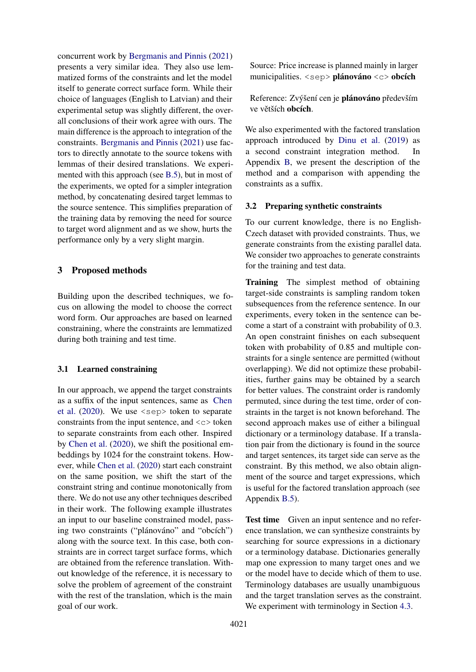concurrent work by [Bergmanis and Pinnis](#page-9-10) [\(2021\)](#page-9-10) presents a very similar idea. They also use lemmatized forms of the constraints and let the model itself to generate correct surface form. While their choice of languages (English to Latvian) and their experimental setup was slightly different, the overall conclusions of their work agree with ours. The main difference is the approach to integration of the constraints. [Bergmanis and Pinnis](#page-9-10) [\(2021\)](#page-9-10) use factors to directly annotate to the source tokens with lemmas of their desired translations. We experimented with this approach (see [B.5\)](#page-14-0), but in most of the experiments, we opted for a simpler integration method, by concatenating desired target lemmas to the source sentence. This simplifies preparation of the training data by removing the need for source to target word alignment and as we show, hurts the performance only by a very slight margin.

## 3 Proposed methods

Building upon the described techniques, we focus on allowing the model to choose the correct word form. Our approaches are based on learned constraining, where the constraints are lemmatized during both training and test time.

#### 3.1 Learned constraining

In our approach, we append the target constraints as a suffix of the input sentences, same as [Chen](#page-9-3) [et al.](#page-9-3)  $(2020)$ . We use  $\langle$ sep $\rangle$  token to separate constraints from the input sentence, and  $\langle c \rangle$  token to separate constraints from each other. Inspired by [Chen et al.](#page-9-3) [\(2020\)](#page-9-3), we shift the positional embeddings by 1024 for the constraint tokens. However, while [Chen et al.](#page-9-3) [\(2020\)](#page-9-3) start each constraint on the same position, we shift the start of the constraint string and continue monotonically from there. We do not use any other techniques described in their work. The following example illustrates an input to our baseline constrained model, passing two constraints ("plánováno" and "obcích") along with the source text. In this case, both constraints are in correct target surface forms, which are obtained from the reference translation. Without knowledge of the reference, it is necessary to solve the problem of agreement of the constraint with the rest of the translation, which is the main goal of our work.

Source: Price increase is planned mainly in larger municipalities. <sep> plánováno <c> obcích

Reference: Zvýšení cen je plánováno především ve větších obcích.

We also experimented with the factored translation approach introduced by [Dinu et al.](#page-9-2) [\(2019\)](#page-9-2) as a second constraint integration method. In Appendix [B,](#page-12-0) we present the description of the method and a comparison with appending the constraints as a suffix.

## 3.2 Preparing synthetic constraints

To our current knowledge, there is no English-Czech dataset with provided constraints. Thus, we generate constraints from the existing parallel data. We consider two approaches to generate constraints for the training and test data.

Training The simplest method of obtaining target-side constraints is sampling random token subsequences from the reference sentence. In our experiments, every token in the sentence can become a start of a constraint with probability of 0.3. An open constraint finishes on each subsequent token with probability of 0.85 and multiple constraints for a single sentence are permitted (without overlapping). We did not optimize these probabilities, further gains may be obtained by a search for better values. The constraint order is randomly permuted, since during the test time, order of constraints in the target is not known beforehand. The second approach makes use of either a bilingual dictionary or a terminology database. If a translation pair from the dictionary is found in the source and target sentences, its target side can serve as the constraint. By this method, we also obtain alignment of the source and target expressions, which is useful for the factored translation approach (see Appendix [B.5\)](#page-14-0).

Test time Given an input sentence and no reference translation, we can synthesize constraints by searching for source expressions in a dictionary or a terminology database. Dictionaries generally map one expression to many target ones and we or the model have to decide which of them to use. Terminology databases are usually unambiguous and the target translation serves as the constraint. We experiment with terminology in Section [4.3.](#page-5-0)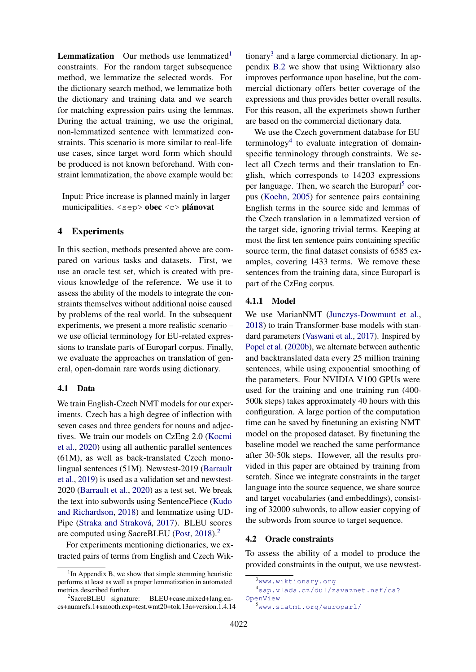**Lemmatization** Our methods use lemmatized<sup>[1](#page-3-0)</sup> constraints. For the random target subsequence method, we lemmatize the selected words. For the dictionary search method, we lemmatize both the dictionary and training data and we search for matching expression pairs using the lemmas. During the actual training, we use the original, non-lemmatized sentence with lemmatized constraints. This scenario is more similar to real-life use cases, since target word form which should be produced is not known beforehand. With constraint lemmatization, the above example would be:

Input: Price increase is planned mainly in larger municipalities. <sep> obec <c> plánovat

## <span id="page-3-6"></span>4 Experiments

In this section, methods presented above are compared on various tasks and datasets. First, we use an oracle test set, which is created with previous knowledge of the reference. We use it to assess the ability of the models to integrate the constraints themselves without additional noise caused by problems of the real world. In the subsequent experiments, we present a more realistic scenario – we use official terminology for EU-related expressions to translate parts of Europarl corpus. Finally, we evaluate the approaches on translation of general, open-domain rare words using dictionary.

## <span id="page-3-5"></span>4.1 Data

We train English-Czech NMT models for our experiments. Czech has a high degree of inflection with seven cases and three genders for nouns and adjectives. We train our models on CzEng 2.0 [\(Kocmi](#page-9-11) [et al.,](#page-9-11) [2020\)](#page-9-11) using all authentic parallel sentences (61M), as well as back-translated Czech monolingual sentences (51M). Newstest-2019 [\(Barrault](#page-9-12) [et al.,](#page-9-12) [2019\)](#page-9-12) is used as a validation set and newstest-2020 [\(Barrault et al.,](#page-9-13) [2020\)](#page-9-13) as a test set. We break the text into subwords using SentencePiece [\(Kudo](#page-10-4) [and Richardson,](#page-10-4) [2018\)](#page-10-4) and lemmatize using UD-Pipe [\(Straka and Straková,](#page-10-8) [2017\)](#page-10-8). BLEU scores are computed using SacreBLEU [\(Post,](#page-10-9) [2018\)](#page-10-9).[2](#page-3-1)

For experiments mentioning dictionaries, we extracted pairs of terms from English and Czech Wik-

tionary<sup>[3](#page-3-2)</sup> and a large commercial dictionary. In appendix [B.2](#page-12-1) we show that using Wiktionary also improves performance upon baseline, but the commercial dictionary offers better coverage of the expressions and thus provides better overall results. For this reason, all the experimets shown further are based on the commercial dictionary data.

We use the Czech government database for EU terminology<sup>[4](#page-3-3)</sup> to evaluate integration of domainspecific terminology through constraints. We select all Czech terms and their translation to English, which corresponds to 14203 expressions per language. Then, we search the Europarl<sup>[5](#page-3-4)</sup> corpus [\(Koehn,](#page-9-14) [2005\)](#page-9-14) for sentence pairs containing English terms in the source side and lemmas of the Czech translation in a lemmatized version of the target side, ignoring trivial terms. Keeping at most the first ten sentence pairs containing specific source term, the final dataset consists of 6585 examples, covering 1433 terms. We remove these sentences from the training data, since Europarl is part of the CzEng corpus.

## 4.1.1 Model

We use MarianNMT [\(Junczys-Dowmunt et al.,](#page-9-15) [2018\)](#page-9-15) to train Transformer-base models with standard parameters [\(Vaswani et al.,](#page-10-10) [2017\)](#page-10-10). Inspired by [Popel et al.](#page-10-11) [\(2020b\)](#page-10-11), we alternate between authentic and backtranslated data every 25 million training sentences, while using exponential smoothing of the parameters. Four NVIDIA V100 GPUs were used for the training and one training run (400- 500k steps) takes approximately 40 hours with this configuration. A large portion of the computation time can be saved by finetuning an existing NMT model on the proposed dataset. By finetuning the baseline model we reached the same performance after 30-50k steps. However, all the results provided in this paper are obtained by training from scratch. Since we integrate constraints in the target language into the source sequence, we share source and target vocabularies (and embeddings), consisting of 32000 subwords, to allow easier copying of the subwords from source to target sequence.

### <span id="page-3-7"></span>4.2 Oracle constraints

To assess the ability of a model to produce the provided constraints in the output, we use newstest-

<span id="page-3-0"></span><sup>&</sup>lt;sup>1</sup>In Appendix B, we show that simple stemming heuristic performs at least as well as proper lemmatization in automated metrics described further.

<span id="page-3-1"></span><sup>2</sup> SacreBLEU signature: BLEU+case.mixed+lang.encs+numrefs.1+smooth.exp+test.wmt20+tok.13a+version.1.4.14

<span id="page-3-3"></span><span id="page-3-2"></span><sup>3</sup><www.wiktionary.org>

<span id="page-3-4"></span><sup>4</sup>[sap.vlada.cz/dul/zavaznet.nsf/ca?](sap.vlada.cz/dul/zavaznet.nsf/ca?OpenView) [OpenView](sap.vlada.cz/dul/zavaznet.nsf/ca?OpenView) <sup>5</sup><www.statmt.org/europarl/>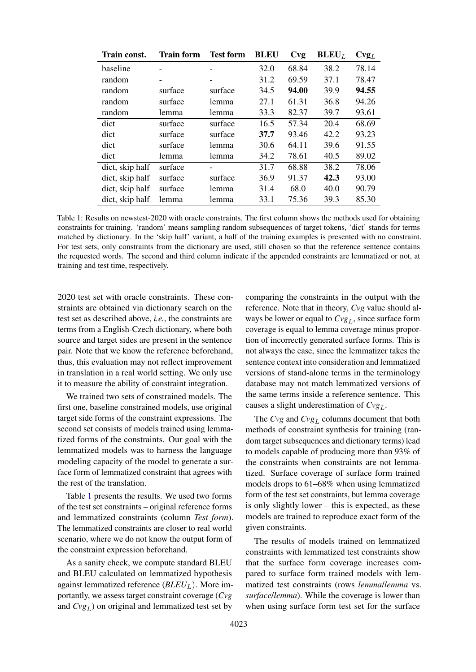<span id="page-4-0"></span>

| Train const.    | <b>Train form</b> | <b>Test form</b> | <b>BLEU</b> | Cvg   | $BLEU_L$ | $\text{Cvg}_{L}$ |
|-----------------|-------------------|------------------|-------------|-------|----------|------------------|
| baseline        |                   |                  | 32.0        | 68.84 | 38.2     | 78.14            |
| random          |                   | -                | 31.2        | 69.59 | 37.1     | 78.47            |
| random          | surface           | surface          | 34.5        | 94.00 | 39.9     | 94.55            |
| random          | surface           | lemma            | 27.1        | 61.31 | 36.8     | 94.26            |
| random          | lemma             | lemma            | 33.3        | 82.37 | 39.7     | 93.61            |
| dict            | surface           | surface          | 16.5        | 57.34 | 20.4     | 68.69            |
| dict            | surface           | surface          | 37.7        | 93.46 | 42.2     | 93.23            |
| dict            | surface           | lemma            | 30.6        | 64.11 | 39.6     | 91.55            |
| dict            | lemma             | lemma            | 34.2        | 78.61 | 40.5     | 89.02            |
| dict, skip half | surface           |                  | 31.7        | 68.88 | 38.2     | 78.06            |
| dict, skip half | surface           | surface          | 36.9        | 91.37 | 42.3     | 93.00            |
| dict, skip half | surface           | lemma            | 31.4        | 68.0  | 40.0     | 90.79            |
| dict, skip half | lemma             | lemma            | 33.1        | 75.36 | 39.3     | 85.30            |

Table 1: Results on newstest-2020 with oracle constraints. The first column shows the methods used for obtaining constraints for training. 'random' means sampling random subsequences of target tokens, 'dict' stands for terms matched by dictionary. In the 'skip half' variant, a half of the training examples is presented with no constraint. For test sets, only constraints from the dictionary are used, still chosen so that the reference sentence contains the requested words. The second and third column indicate if the appended constraints are lemmatized or not, at training and test time, respectively.

2020 test set with oracle constraints. These constraints are obtained via dictionary search on the test set as described above, *i.e.*, the constraints are terms from a English-Czech dictionary, where both source and target sides are present in the sentence pair. Note that we know the reference beforehand, thus, this evaluation may not reflect improvement in translation in a real world setting. We only use it to measure the ability of constraint integration.

We trained two sets of constrained models. The first one, baseline constrained models, use original target side forms of the constraint expressions. The second set consists of models trained using lemmatized forms of the constraints. Our goal with the lemmatized models was to harness the language modeling capacity of the model to generate a surface form of lemmatized constraint that agrees with the rest of the translation.

Table [1](#page-4-0) presents the results. We used two forms of the test set constraints – original reference forms and lemmatized constraints (column *Test form*). The lemmatized constraints are closer to real world scenario, where we do not know the output form of the constraint expression beforehand.

As a sanity check, we compute standard BLEU and BLEU calculated on lemmatized hypothesis against lemmatized reference (*BLEU<sub>L</sub>*). More importantly, we assess target constraint coverage (*Cvg* and  $Cvg<sub>L</sub>$ ) on original and lemmatized test set by

comparing the constraints in the output with the reference. Note that in theory, *Cvg* value should always be lower or equal to  $Cvg<sub>L</sub>$ , since surface form coverage is equal to lemma coverage minus proportion of incorrectly generated surface forms. This is not always the case, since the lemmatizer takes the sentence context into consideration and lemmatized versions of stand-alone terms in the terminology database may not match lemmatized versions of the same terms inside a reference sentence. This causes a slight underestimation of  $Cvg<sub>L</sub>$ .

The  $Cvg$  and  $Cvg_L$  columns document that both methods of constraint synthesis for training (random target subsequences and dictionary terms) lead to models capable of producing more than 93% of the constraints when constraints are not lemmatized. Surface coverage of surface form trained models drops to 61–68% when using lemmatized form of the test set constraints, but lemma coverage is only slightly lower – this is expected, as these models are trained to reproduce exact form of the given constraints.

The results of models trained on lemmatized constraints with lemmatized test constraints show that the surface form coverage increases compared to surface form trained models with lemmatized test constraints (rows *lemma*/*lemma* vs. *surface*/*lemma*). While the coverage is lower than when using surface form test set for the surface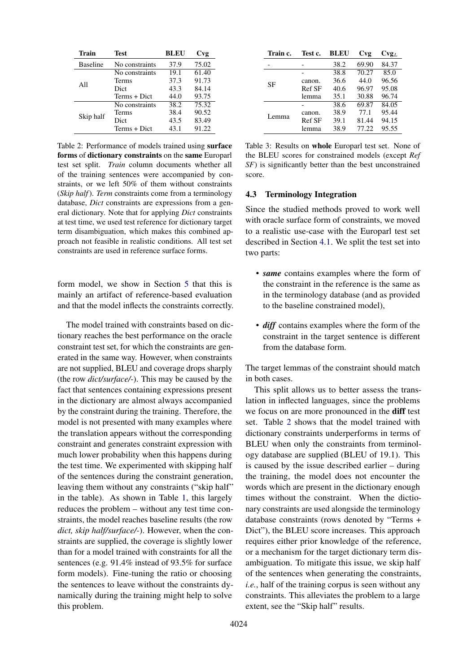<span id="page-5-1"></span>

| Train           | Test           | BLEU | Cvg                |
|-----------------|----------------|------|--------------------|
| <b>Baseline</b> | No constraints | 37.9 | 75.02              |
|                 | No constraints | 19.1 | 61.40              |
|                 | Terms          | 37.3 | 91.73              |
| All             | Dict           | 43.3 | 84.14              |
|                 | Terms + Dict   | 44.0 | 93.75              |
|                 | No constraints | 38.2 | $75.\overline{32}$ |
| Skip half       | Terms          | 38.4 | 90.52              |
|                 | Dict           | 43.5 | 83.49              |
|                 | Terms + Dict   | 43.1 | 91.22              |

Table 2: Performance of models trained using surface forms of dictionary constraints on the same Europarl test set split. *Train* column documents whether all of the training sentences were accompanied by constraints, or we left 50% of them without constraints (*Skip half*). *Term* constraints come from a terminology database, *Dict* constraints are expressions from a general dictionary. Note that for applying *Dict* constraints at test time, we used test reference for dictionary target term disambiguation, which makes this combined approach not feasible in realistic conditions. All test set constraints are used in reference surface forms.

form model, we show in Section [5](#page-7-0) that this is mainly an artifact of reference-based evaluation and that the model inflects the constraints correctly.

The model trained with constraints based on dictionary reaches the best performance on the oracle constraint test set, for which the constraints are generated in the same way. However, when constraints are not supplied, BLEU and coverage drops sharply (the row *dict/surface/-*). This may be caused by the fact that sentences containing expressions present in the dictionary are almost always accompanied by the constraint during the training. Therefore, the model is not presented with many examples where the translation appears without the corresponding constraint and generates constraint expression with much lower probability when this happens during the test time. We experimented with skipping half of the sentences during the constraint generation, leaving them without any constraints ("skip half" in the table). As shown in Table [1,](#page-4-0) this largely reduces the problem – without any test time constraints, the model reaches baseline results (the row *dict, skip half/surface/-*). However, when the constraints are supplied, the coverage is slightly lower than for a model trained with constraints for all the sentences (e.g. 91.4% instead of 93.5% for surface form models). Fine-tuning the ratio or choosing the sentences to leave without the constraints dynamically during the training might help to solve this problem.

<span id="page-5-2"></span>

| Train c. | Test c. | BLEU | Cvg   | $\mathbf{Cvg}_L$ |
|----------|---------|------|-------|------------------|
|          |         | 38.2 | 69.90 | 84.37            |
|          |         | 38.8 | 70.27 | 85.0             |
| SF       | canon.  | 36.6 | 44.0  | 96.56            |
|          | Ref SF  | 40.6 | 96.97 | 95.08            |
|          | lemma   | 35.1 | 30.88 | 96.74            |
|          |         | 38.6 | 69.87 | 84.05            |
| Lemma    | canon.  | 38.9 | 77.1  | 95.44            |
|          | Ref SF  | 39.1 | 81.44 | 94.15            |
|          | lemma   | 38.9 | 77.22 | 95.55            |

Table 3: Results on whole Europarl test set. None of the BLEU scores for constrained models (except *Ref SF*) is significantly better than the best unconstrained score.

### <span id="page-5-0"></span>4.3 Terminology Integration

Since the studied methods proved to work well with oracle surface form of constraints, we moved to a realistic use-case with the Europarl test set described in Section [4.1.](#page-3-5) We split the test set into two parts:

- *same* contains examples where the form of the constraint in the reference is the same as in the terminology database (and as provided to the baseline constrained model),
- *diff* contains examples where the form of the constraint in the target sentence is different from the database form.

The target lemmas of the constraint should match in both cases.

This split allows us to better assess the translation in inflected languages, since the problems we focus on are more pronounced in the diff test set. Table [2](#page-5-1) shows that the model trained with dictionary constraints underperforms in terms of BLEU when only the constraints from terminology database are supplied (BLEU of 19.1). This is caused by the issue described earlier – during the training, the model does not encounter the words which are present in the dictionary enough times without the constraint. When the dictionary constraints are used alongside the terminology database constraints (rows denoted by "Terms + Dict"), the BLEU score increases. This approach requires either prior knowledge of the reference, or a mechanism for the target dictionary term disambiguation. To mitigate this issue, we skip half of the sentences when generating the constraints, *i.e.*, half of the training corpus is seen without any constraints. This alleviates the problem to a large extent, see the "Skip half" results.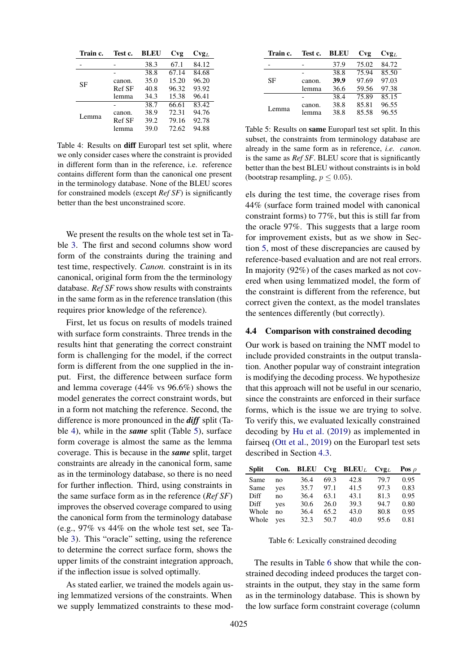<span id="page-6-0"></span>

| Train c. | Test c. | BLEU | Cvg   | $\mathbf{Cvg}_L$ |
|----------|---------|------|-------|------------------|
|          |         | 38.3 | 67.1  | 84.12            |
|          |         | 38.8 | 67.14 | 84.68            |
| SF       | canon.  | 35.0 | 15.20 | 96.20            |
|          | Ref SF  | 40.8 | 96.32 | 93.92            |
|          | lemma   | 34.3 | 15.38 | 96.41            |
|          |         | 38.7 | 66.61 | 83.42            |
| Lemma    | canon.  | 38.9 | 72.31 | 94.76            |
|          | Ref SF  | 39.2 | 79.16 | 92.78            |
|          | lemma   | 39.0 | 72.62 | 94.88            |

Table 4: Results on diff Europarl test set split, where we only consider cases where the constraint is provided in different form than in the reference, i.e. reference contains different form than the canonical one present in the terminology database. None of the BLEU scores for constrained models (except *Ref SF*) is significantly better than the best unconstrained score.

We present the results on the whole test set in Table [3.](#page-5-2) The first and second columns show word form of the constraints during the training and test time, respectively. *Canon.* constraint is in its canonical, original form from the the terminology database. *Ref SF* rows show results with constraints in the same form as in the reference translation (this requires prior knowledge of the reference).

First, let us focus on results of models trained with surface form constraints. Three trends in the results hint that generating the correct constraint form is challenging for the model, if the correct form is different from the one supplied in the input. First, the difference between surface form and lemma coverage (44% vs 96.6%) shows the model generates the correct constraint words, but in a form not matching the reference. Second, the difference is more pronounced in the *diff* split (Table [4\)](#page-6-0), while in the *same* split (Table [5\)](#page-6-1), surface form coverage is almost the same as the lemma coverage. This is because in the *same* split, target constraints are already in the canonical form, same as in the terminology database, so there is no need for further inflection. Third, using constraints in the same surface form as in the reference (*Ref SF*) improves the observed coverage compared to using the canonical form from the terminology database (e.g., 97% vs 44% on the whole test set, see Table [3\)](#page-5-2). This "oracle" setting, using the reference to determine the correct surface form, shows the upper limits of the constraint integration approach, if the inflection issue is solved optimally.

As stated earlier, we trained the models again using lemmatized versions of the constraints. When we supply lemmatized constraints to these mod-

<span id="page-6-1"></span>

| Train c. | Test c. | BLEU | Cvg   | $Cvg_L$ |
|----------|---------|------|-------|---------|
|          |         | 37.9 | 75.02 | 84.72   |
|          |         | 38.8 | 75.94 | 85.50   |
| SF       | canon.  | 39.9 | 97.69 | 97.03   |
|          | lemma   | 36.6 | 59.56 | 97.38   |
|          |         | 38.4 | 75.89 | 85.15   |
|          | canon.  | 38.8 | 85.81 | 96.55   |
| Lemma    | lemma   | 38.8 | 85.58 | 96.55   |

Table 5: Results on same Europarl test set split. In this subset, the constraints from terminology database are already in the same form as in reference, *i.e. canon.* is the same as *Ref SF*. BLEU score that is significantly better than the best BLEU without constraints is in bold (bootstrap resampling,  $p \leq 0.05$ ).

els during the test time, the coverage rises from 44% (surface form trained model with canonical constraint forms) to 77%, but this is still far from the oracle 97%. This suggests that a large room for improvement exists, but as we show in Section [5,](#page-7-0) most of these discrepancies are caused by reference-based evaluation and are not real errors. In majority (92%) of the cases marked as not covered when using lemmatized model, the form of the constraint is different from the reference, but correct given the context, as the model translates the sentences differently (but correctly).

#### 4.4 Comparison with constrained decoding

Our work is based on training the NMT model to include provided constraints in the output translation. Another popular way of constraint integration is modifying the decoding process. We hypothesize that this approach will not be useful in our scenario, since the constraints are enforced in their surface forms, which is the issue we are trying to solve. To verify this, we evaluated lexically constrained decoding by [Hu et al.](#page-9-1) [\(2019\)](#page-9-1) as implemented in fairseq [\(Ott et al.,](#page-10-12) [2019\)](#page-10-12) on the Europarl test sets described in Section [4.3.](#page-5-0)

<span id="page-6-2"></span>

| <b>Split</b> |     |      |      | Con. BLEU Cvg BLEU <sub>L</sub> Cvg <sub>L</sub> |      | Pos $\rho$ |
|--------------|-----|------|------|--------------------------------------------------|------|------------|
| Same         | no  | 36.4 | 69.3 | 42.8                                             | 79.7 | 0.95       |
| Same         | yes | 35.7 | 97.1 | 41.5                                             | 97.3 | 0.83       |
| Diff         | no  | 36.4 | 63.1 | 43.1                                             | 81.3 | 0.95       |
| Diff         | ves | 30.6 | 26.0 | 39.3                                             | 94.7 | 0.80       |
| Whole        | no  | 36.4 | 65.2 | 43.0                                             | 80.8 | 0.95       |
| Whole        | ves | 32.3 | 50.7 | 40.0                                             | 95.6 | 0.81       |
|              |     |      |      |                                                  |      |            |

Table 6: Lexically constrained decoding

The results in Table [6](#page-6-2) show that while the constrained decoding indeed produces the target constraints in the output, they stay in the same form as in the terminology database. This is shown by the low surface form constraint coverage (column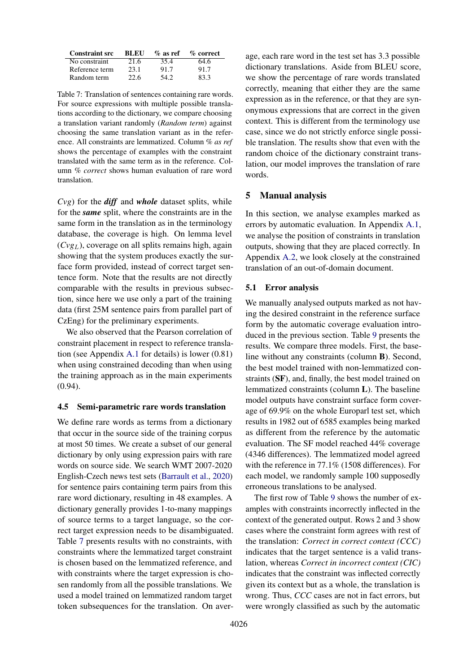<span id="page-7-1"></span>

| <b>Constraint src</b> | <b>BLEU</b> | $\%$ as ref | % correct |
|-----------------------|-------------|-------------|-----------|
| No constraint         | 21.6        | 35.4        | 64.6      |
| Reference term        | 23.1        | 91.7        | 91.7      |
| Random term           | 22.6        | 54 2.       | 83.3      |

Table 7: Translation of sentences containing rare words. For source expressions with multiple possible translations according to the dictionary, we compare choosing a translation variant randomly (*Random term*) against choosing the same translation variant as in the reference. All constraints are lemmatized. Column *% as ref* shows the percentage of examples with the constraint translated with the same term as in the reference. Column *% correct* shows human evaluation of rare word translation.

*Cvg*) for the *diff* and *whole* dataset splits, while for the *same* split, where the constraints are in the same form in the translation as in the terminology database, the coverage is high. On lemma level  $(Cvg<sub>L</sub>)$ , coverage on all splits remains high, again showing that the system produces exactly the surface form provided, instead of correct target sentence form. Note that the results are not directly comparable with the results in previous subsection, since here we use only a part of the training data (first 25M sentence pairs from parallel part of CzEng) for the preliminary experiments.

We also observed that the Pearson correlation of constraint placement in respect to reference translation (see Appendix [A.1](#page-11-0) for details) is lower (0.81) when using constrained decoding than when using the training approach as in the main experiments (0.94).

#### 4.5 Semi-parametric rare words translation

We define rare words as terms from a dictionary that occur in the source side of the training corpus at most 50 times. We create a subset of our general dictionary by only using expression pairs with rare words on source side. We search WMT 2007-2020 English-Czech news test sets [\(Barrault et al.,](#page-9-13) [2020\)](#page-9-13) for sentence pairs containing term pairs from this rare word dictionary, resulting in 48 examples. A dictionary generally provides 1-to-many mappings of source terms to a target language, so the correct target expression needs to be disambiguated. Table [7](#page-7-1) presents results with no constraints, with constraints where the lemmatized target constraint is chosen based on the lemmatized reference, and with constraints where the target expression is chosen randomly from all the possible translations. We used a model trained on lemmatized random target token subsequences for the translation. On average, each rare word in the test set has 3.3 possible dictionary translations. Aside from BLEU score, we show the percentage of rare words translated correctly, meaning that either they are the same expression as in the reference, or that they are synonymous expressions that are correct in the given context. This is different from the terminology use case, since we do not strictly enforce single possible translation. The results show that even with the random choice of the dictionary constraint translation, our model improves the translation of rare words.

## <span id="page-7-0"></span>5 Manual analysis

In this section, we analyse examples marked as errors by automatic evaluation. In Appendix [A.1,](#page-11-0) we analyse the position of constraints in translation outputs, showing that they are placed correctly. In Appendix [A.2,](#page-11-1) we look closely at the constrained translation of an out-of-domain document.

### 5.1 Error analysis

We manually analysed outputs marked as not having the desired constraint in the reference surface form by the automatic coverage evaluation introduced in the previous section. Table [9](#page-8-0) presents the results. We compare three models. First, the baseline without any constraints (column B). Second, the best model trained with non-lemmatized constraints (SF), and, finally, the best model trained on lemmatized constraints (column L). The baseline model outputs have constraint surface form coverage of 69.9% on the whole Europarl test set, which results in 1982 out of 6585 examples being marked as different from the reference by the automatic evaluation. The SF model reached 44% coverage (4346 differences). The lemmatized model agreed with the reference in 77.1% (1508 differences). For each model, we randomly sample 100 supposedly erroneous translations to be analysed.

The first row of Table [9](#page-8-0) shows the number of examples with constraints incorrectly inflected in the context of the generated output. Rows 2 and 3 show cases where the constraint form agrees with rest of the translation: *Correct in correct context (CCC)* indicates that the target sentence is a valid translation, whereas *Correct in incorrect context (CIC)* indicates that the constraint was inflected correctly given its context but as a whole, the translation is wrong. Thus, *CCC* cases are not in fact errors, but were wrongly classified as such by the automatic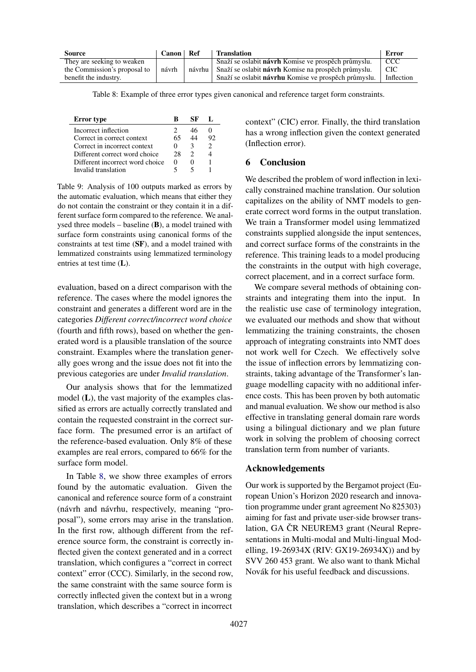<span id="page-8-1"></span>

| <b>Source</b>                | Canon | - Ref  | <b>Translation</b>                                          | Error      |
|------------------------------|-------|--------|-------------------------------------------------------------|------------|
| They are seeking to weaken   |       |        | Snaží se oslabit <b>návrh</b> Komise ve prospěch průmyslu.  | <b>CCC</b> |
| the Commission's proposal to | návrh | návrhu | Snaží se oslabit <b>návrh</b> Komise na prospěch průmyslu.  | CIC.       |
| benefit the industry.        |       |        | Snaží se oslabit <b>návrhu</b> Komise ve prospěch průmyslu. | Inflection |

Table 8: Example of three error types given canonical and reference target form constraints.

<span id="page-8-0"></span>

| <b>Error</b> type               |    | SF. |    |
|---------------------------------|----|-----|----|
| Incorrect inflection            |    | 46  |    |
| Correct in correct context      |    |     | 92 |
| Correct in incorrect context    |    | З   |    |
| Different correct word choice   | 28 |     |    |
| Different incorrect word choice |    |     |    |
| Invalid translation             |    |     |    |

Table 9: Analysis of 100 outputs marked as errors by the automatic evaluation, which means that either they do not contain the constraint or they contain it in a different surface form compared to the reference. We analysed three models – baseline (B), a model trained with surface form constraints using canonical forms of the constraints at test time (SF), and a model trained with lemmatized constraints using lemmatized terminology entries at test time (L).

evaluation, based on a direct comparison with the reference. The cases where the model ignores the constraint and generates a different word are in the categories *Different correct/incorrect word choice* (fourth and fifth rows), based on whether the generated word is a plausible translation of the source constraint. Examples where the translation generally goes wrong and the issue does not fit into the previous categories are under *Invalid translation*.

Our analysis shows that for the lemmatized model (L), the vast majority of the examples classified as errors are actually correctly translated and contain the requested constraint in the correct surface form. The presumed error is an artifact of the reference-based evaluation. Only 8% of these examples are real errors, compared to 66% for the surface form model.

In Table [8,](#page-8-1) we show three examples of errors found by the automatic evaluation. Given the canonical and reference source form of a constraint (návrh and návrhu, respectively, meaning "proposal"), some errors may arise in the translation. In the first row, although different from the reference source form, the constraint is correctly inflected given the context generated and in a correct translation, which configures a "correct in correct context" error (CCC). Similarly, in the second row, the same constraint with the same source form is correctly inflected given the context but in a wrong translation, which describes a "correct in incorrect

context" (CIC) error. Finally, the third translation has a wrong inflection given the context generated (Inflection error).

## 6 Conclusion

We described the problem of word inflection in lexically constrained machine translation. Our solution capitalizes on the ability of NMT models to generate correct word forms in the output translation. We train a Transformer model using lemmatized constraints supplied alongside the input sentences, and correct surface forms of the constraints in the reference. This training leads to a model producing the constraints in the output with high coverage, correct placement, and in a correct surface form.

We compare several methods of obtaining constraints and integrating them into the input. In the realistic use case of terminology integration, we evaluated our methods and show that without lemmatizing the training constraints, the chosen approach of integrating constraints into NMT does not work well for Czech. We effectively solve the issue of inflection errors by lemmatizing constraints, taking advantage of the Transformer's language modelling capacity with no additional inference costs. This has been proven by both automatic and manual evaluation. We show our method is also effective in translating general domain rare words using a bilingual dictionary and we plan future work in solving the problem of choosing correct translation term from number of variants.

## Acknowledgements

Our work is supported by the Bergamot project (European Union's Horizon 2020 research and innovation programme under grant agreement No 825303) aiming for fast and private user-side browser translation, GA CR NEUREM3 grant (Neural Representations in Multi-modal and Multi-lingual Modelling, 19-26934X (RIV: GX19-26934X)) and by SVV 260 453 grant. We also want to thank Michal Novák for his useful feedback and discussions.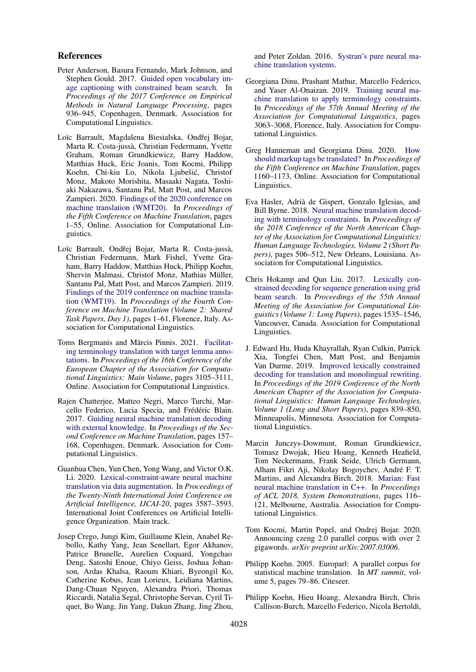### References

- <span id="page-9-7"></span>Peter Anderson, Basura Fernando, Mark Johnson, and Stephen Gould. 2017. [Guided open vocabulary im](https://doi.org/10.18653/v1/D17-1098)[age captioning with constrained beam search.](https://doi.org/10.18653/v1/D17-1098) In *Proceedings of the 2017 Conference on Empirical Methods in Natural Language Processing*, pages 936–945, Copenhagen, Denmark. Association for Computational Linguistics.
- <span id="page-9-13"></span>Loïc Barrault, Magdalena Biesialska, Ondřej Bojar, Marta R. Costa-jussà, Christian Federmann, Yvette Graham, Roman Grundkiewicz, Barry Haddow, Matthias Huck, Eric Joanis, Tom Kocmi, Philipp Koehn, Chi-kiu Lo, Nikola Ljubešic, Christof ´ Monz, Makoto Morishita, Masaaki Nagata, Toshiaki Nakazawa, Santanu Pal, Matt Post, and Marcos Zampieri. 2020. [Findings of the 2020 conference on](https://www.aclweb.org/anthology/2020.wmt-1.1) [machine translation \(WMT20\).](https://www.aclweb.org/anthology/2020.wmt-1.1) In *Proceedings of the Fifth Conference on Machine Translation*, pages 1–55, Online. Association for Computational Linguistics.
- <span id="page-9-12"></span>Loïc Barrault, Ondřej Bojar, Marta R. Costa-jussà, Christian Federmann, Mark Fishel, Yvette Graham, Barry Haddow, Matthias Huck, Philipp Koehn, Shervin Malmasi, Christof Monz, Mathias Müller, Santanu Pal, Matt Post, and Marcos Zampieri. 2019. [Findings of the 2019 conference on machine transla](https://doi.org/10.18653/v1/W19-5301)[tion \(WMT19\).](https://doi.org/10.18653/v1/W19-5301) In *Proceedings of the Fourth Conference on Machine Translation (Volume 2: Shared Task Papers, Day 1)*, pages 1–61, Florence, Italy. Association for Computational Linguistics.
- <span id="page-9-10"></span>Toms Bergmanis and Mārcis Pinnis. 2021. [Facilitat](https://www.aclweb.org/anthology/2021.eacl-main.271)[ing terminology translation with target lemma anno](https://www.aclweb.org/anthology/2021.eacl-main.271)[tations.](https://www.aclweb.org/anthology/2021.eacl-main.271) In *Proceedings of the 16th Conference of the European Chapter of the Association for Computational Linguistics: Main Volume*, pages 3105–3111, Online. Association for Computational Linguistics.
- <span id="page-9-9"></span>Rajen Chatterjee, Matteo Negri, Marco Turchi, Marcello Federico, Lucia Specia, and Frédéric Blain. 2017. [Guiding neural machine translation decoding](https://doi.org/10.18653/v1/W17-4716) [with external knowledge.](https://doi.org/10.18653/v1/W17-4716) In *Proceedings of the Second Conference on Machine Translation*, pages 157– 168, Copenhagen, Denmark. Association for Computational Linguistics.
- <span id="page-9-3"></span>Guanhua Chen, Yun Chen, Yong Wang, and Victor O.K. Li. 2020. [Lexical-constraint-aware neural machine](https://doi.org/10.24963/ijcai.2020/496) [translation via data augmentation.](https://doi.org/10.24963/ijcai.2020/496) In *Proceedings of the Twenty-Ninth International Joint Conference on Artificial Intelligence, IJCAI-20*, pages 3587–3593. International Joint Conferences on Artificial Intelligence Organization. Main track.
- <span id="page-9-5"></span>Josep Crego, Jungi Kim, Guillaume Klein, Anabel Rebollo, Kathy Yang, Jean Senellart, Egor Akhanov, Patrice Brunelle, Aurelien Coquard, Yongchao Deng, Satoshi Enoue, Chiyo Geiss, Joshua Johanson, Ardas Khalsa, Raoum Khiari, Byeongil Ko, Catherine Kobus, Jean Lorieux, Leidiana Martins, Dang-Chuan Nguyen, Alexandra Priori, Thomas Riccardi, Natalia Segal, Christophe Servan, Cyril Tiquet, Bo Wang, Jin Yang, Dakun Zhang, Jing Zhou,

and Peter Zoldan. 2016. [Systran's pure neural ma](http://arxiv.org/abs/1610.05540)[chine translation systems.](http://arxiv.org/abs/1610.05540)

- <span id="page-9-2"></span>Georgiana Dinu, Prashant Mathur, Marcello Federico, and Yaser Al-Onaizan. 2019. [Training neural ma](https://doi.org/10.18653/v1/P19-1294)[chine translation to apply terminology constraints.](https://doi.org/10.18653/v1/P19-1294) In *Proceedings of the 57th Annual Meeting of the Association for Computational Linguistics*, pages 3063–3068, Florence, Italy. Association for Computational Linguistics.
- <span id="page-9-6"></span>Greg Hanneman and Georgiana Dinu. 2020. [How](https://www.aclweb.org/anthology/2020.wmt-1.138) [should markup tags be translated?](https://www.aclweb.org/anthology/2020.wmt-1.138) In *Proceedings of the Fifth Conference on Machine Translation*, pages 1160–1173, Online. Association for Computational Linguistics.
- <span id="page-9-8"></span>Eva Hasler, Adrià de Gispert, Gonzalo Iglesias, and Bill Byrne. 2018. [Neural machine translation decod](https://doi.org/10.18653/v1/N18-2081)[ing with terminology constraints.](https://doi.org/10.18653/v1/N18-2081) In *Proceedings of the 2018 Conference of the North American Chapter of the Association for Computational Linguistics: Human Language Technologies, Volume 2 (Short Papers)*, pages 506–512, New Orleans, Louisiana. Association for Computational Linguistics.
- <span id="page-9-0"></span>Chris Hokamp and Qun Liu. 2017. [Lexically con](https://doi.org/10.18653/v1/P17-1141)[strained decoding for sequence generation using grid](https://doi.org/10.18653/v1/P17-1141) [beam search.](https://doi.org/10.18653/v1/P17-1141) In *Proceedings of the 55th Annual Meeting of the Association for Computational Linguistics (Volume 1: Long Papers)*, pages 1535–1546, Vancouver, Canada. Association for Computational Linguistics.
- <span id="page-9-1"></span>J. Edward Hu, Huda Khayrallah, Ryan Culkin, Patrick Xia, Tongfei Chen, Matt Post, and Benjamin Van Durme. 2019. [Improved lexically constrained](https://doi.org/10.18653/v1/N19-1090) [decoding for translation and monolingual rewriting.](https://doi.org/10.18653/v1/N19-1090) In *Proceedings of the 2019 Conference of the North American Chapter of the Association for Computational Linguistics: Human Language Technologies, Volume 1 (Long and Short Papers)*, pages 839–850, Minneapolis, Minnesota. Association for Computational Linguistics.
- <span id="page-9-15"></span>Marcin Junczys-Dowmunt, Roman Grundkiewicz, Tomasz Dwojak, Hieu Hoang, Kenneth Heafield, Tom Neckermann, Frank Seide, Ulrich Germann, Alham Fikri Aji, Nikolay Bogoychev, André F. T. Martins, and Alexandra Birch. 2018. [Marian: Fast](http://www.aclweb.org/anthology/P18-4020) [neural machine translation in C++.](http://www.aclweb.org/anthology/P18-4020) In *Proceedings of ACL 2018, System Demonstrations*, pages 116– 121, Melbourne, Australia. Association for Computational Linguistics.
- <span id="page-9-11"></span>Tom Kocmi, Martin Popel, and Ondrej Bojar. 2020. Announcing czeng 2.0 parallel corpus with over 2 gigawords. *arXiv preprint arXiv:2007.03006*.
- <span id="page-9-14"></span>Philipp Koehn. 2005. Europarl: A parallel corpus for statistical machine translation. In *MT summit*, volume 5, pages 79–86. Citeseer.
- <span id="page-9-4"></span>Philipp Koehn, Hieu Hoang, Alexandra Birch, Chris Callison-Burch, Marcello Federico, Nicola Bertoldi,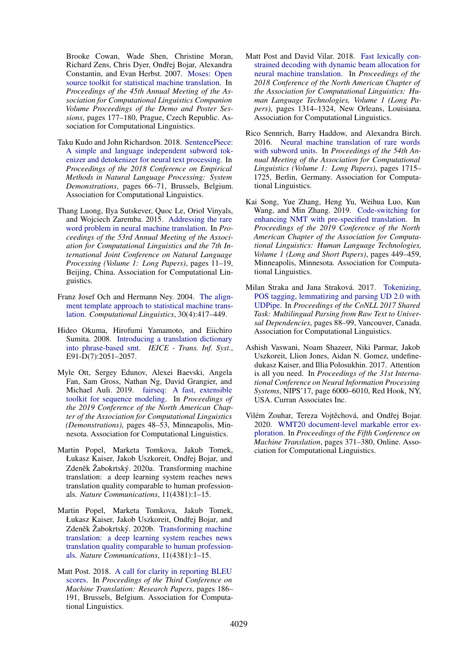Brooke Cowan, Wade Shen, Christine Moran, Richard Zens, Chris Dyer, Ondřej Bojar, Alexandra Constantin, and Evan Herbst. 2007. [Moses: Open](https://www.aclweb.org/anthology/P07-2045) [source toolkit for statistical machine translation.](https://www.aclweb.org/anthology/P07-2045) In *Proceedings of the 45th Annual Meeting of the Association for Computational Linguistics Companion Volume Proceedings of the Demo and Poster Sessions*, pages 177–180, Prague, Czech Republic. Association for Computational Linguistics.

- <span id="page-10-4"></span>Taku Kudo and John Richardson. 2018. [SentencePiece:](https://doi.org/10.18653/v1/D18-2012) [A simple and language independent subword tok](https://doi.org/10.18653/v1/D18-2012)[enizer and detokenizer for neural text processing.](https://doi.org/10.18653/v1/D18-2012) In *Proceedings of the 2018 Conference on Empirical Methods in Natural Language Processing: System Demonstrations*, pages 66–71, Brussels, Belgium. Association for Computational Linguistics.
- <span id="page-10-5"></span>Thang Luong, Ilya Sutskever, Quoc Le, Oriol Vinyals, and Wojciech Zaremba. 2015. [Addressing the rare](https://doi.org/10.3115/v1/P15-1002) [word problem in neural machine translation.](https://doi.org/10.3115/v1/P15-1002) In *Proceedings of the 53rd Annual Meeting of the Association for Computational Linguistics and the 7th International Joint Conference on Natural Language Processing (Volume 1: Long Papers)*, pages 11–19, Beijing, China. Association for Computational Linguistics.
- <span id="page-10-6"></span>Franz Josef Och and Hermann Ney. 2004. [The align](https://doi.org/10.1162/0891201042544884)[ment template approach to statistical machine trans](https://doi.org/10.1162/0891201042544884)[lation.](https://doi.org/10.1162/0891201042544884) *Computational Linguistics*, 30(4):417–449.
- <span id="page-10-2"></span>Hideo Okuma, Hirofumi Yamamoto, and Eiichiro Sumita. 2008. [Introducing a translation dictionary](https://doi.org/10.1093/ietisy/e91-d.7.2051) [into phrase-based smt.](https://doi.org/10.1093/ietisy/e91-d.7.2051) *IEICE - Trans. Inf. Syst.*, E91-D(7):2051–2057.
- <span id="page-10-12"></span>Myle Ott, Sergey Edunov, Alexei Baevski, Angela Fan, Sam Gross, Nathan Ng, David Grangier, and Michael Auli. 2019. [fairseq: A fast, extensible](https://doi.org/10.18653/v1/N19-4009) [toolkit for sequence modeling.](https://doi.org/10.18653/v1/N19-4009) In *Proceedings of the 2019 Conference of the North American Chapter of the Association for Computational Linguistics (Demonstrations)*, pages 48–53, Minneapolis, Minnesota. Association for Computational Linguistics.
- <span id="page-10-7"></span>Martin Popel, Marketa Tomkova, Jakub Tomek, Łukasz Kaiser, Jakob Uszkoreit, Ondřej Bojar, and  $Z$ deněk  $\check{Z}$ abokrtský. 2020a. Transforming machine translation: a deep learning system reaches news translation quality comparable to human professionals. *Nature Communications*, 11(4381):1–15.
- <span id="page-10-11"></span>Martin Popel, Marketa Tomkova, Jakub Tomek, Łukasz Kaiser, Jakob Uszkoreit, Ondřej Bojar, and Zdeněk Žabokrtský. 2020b. [Transforming machine](https://doi.org/10.1038/s41467-020-18073-9) [translation: a deep learning system reaches news](https://doi.org/10.1038/s41467-020-18073-9) [translation quality comparable to human profession](https://doi.org/10.1038/s41467-020-18073-9)[als.](https://doi.org/10.1038/s41467-020-18073-9) *Nature Communications*, 11(4381):1–15.
- <span id="page-10-9"></span>Matt Post. 2018. [A call for clarity in reporting BLEU](https://doi.org/10.18653/v1/W18-6319) [scores.](https://doi.org/10.18653/v1/W18-6319) In *Proceedings of the Third Conference on Machine Translation: Research Papers*, pages 186– 191, Brussels, Belgium. Association for Computational Linguistics.
- <span id="page-10-1"></span>Matt Post and David Vilar. 2018. [Fast lexically con](https://doi.org/10.18653/v1/N18-1119)[strained decoding with dynamic beam allocation for](https://doi.org/10.18653/v1/N18-1119) [neural machine translation.](https://doi.org/10.18653/v1/N18-1119) In *Proceedings of the 2018 Conference of the North American Chapter of the Association for Computational Linguistics: Human Language Technologies, Volume 1 (Long Papers)*, pages 1314–1324, New Orleans, Louisiana. Association for Computational Linguistics.
- <span id="page-10-3"></span>Rico Sennrich, Barry Haddow, and Alexandra Birch. 2016. [Neural machine translation of rare words](https://doi.org/10.18653/v1/P16-1162) [with subword units.](https://doi.org/10.18653/v1/P16-1162) In *Proceedings of the 54th Annual Meeting of the Association for Computational Linguistics (Volume 1: Long Papers)*, pages 1715– 1725, Berlin, Germany. Association for Computational Linguistics.
- <span id="page-10-0"></span>Kai Song, Yue Zhang, Heng Yu, Weihua Luo, Kun Wang, and Min Zhang. 2019. [Code-switching for](https://doi.org/10.18653/v1/N19-1044) [enhancing NMT with pre-specified translation.](https://doi.org/10.18653/v1/N19-1044) In *Proceedings of the 2019 Conference of the North American Chapter of the Association for Computational Linguistics: Human Language Technologies, Volume 1 (Long and Short Papers)*, pages 449–459, Minneapolis, Minnesota. Association for Computational Linguistics.
- <span id="page-10-8"></span>Milan Straka and Jana Straková. 2017. [Tokenizing,](https://doi.org/10.18653/v1/K17-3009) [POS tagging, lemmatizing and parsing UD 2.0 with](https://doi.org/10.18653/v1/K17-3009) [UDPipe.](https://doi.org/10.18653/v1/K17-3009) In *Proceedings of the CoNLL 2017 Shared Task: Multilingual Parsing from Raw Text to Universal Dependencies*, pages 88–99, Vancouver, Canada. Association for Computational Linguistics.
- <span id="page-10-10"></span>Ashish Vaswani, Noam Shazeer, Niki Parmar, Jakob Uszkoreit, Llion Jones, Aidan N. Gomez, undefinedukasz Kaiser, and Illia Polosukhin. 2017. Attention is all you need. In *Proceedings of the 31st International Conference on Neural Information Processing Systems*, NIPS'17, page 6000–6010, Red Hook, NY, USA. Curran Associates Inc.
- <span id="page-10-13"></span>Vilém Zouhar, Tereza Vojtěchová, and Ondřej Bojar. 2020. [WMT20 document-level markable error ex](https://www.aclweb.org/anthology/2020.wmt-1.41)[ploration.](https://www.aclweb.org/anthology/2020.wmt-1.41) In *Proceedings of the Fifth Conference on Machine Translation*, pages 371–380, Online. Association for Computational Linguistics.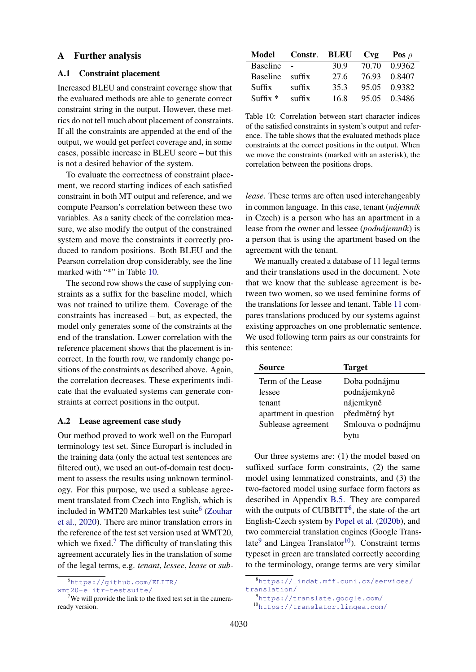## A Further analysis

## <span id="page-11-0"></span>A.1 Constraint placement

Increased BLEU and constraint coverage show that the evaluated methods are able to generate correct constraint string in the output. However, these metrics do not tell much about placement of constraints. If all the constraints are appended at the end of the output, we would get perfect coverage and, in some cases, possible increase in BLEU score – but this is not a desired behavior of the system.

To evaluate the correctness of constraint placement, we record starting indices of each satisfied constraint in both MT output and reference, and we compute Pearson's correlation between these two variables. As a sanity check of the correlation measure, we also modify the output of the constrained system and move the constraints it correctly produced to random positions. Both BLEU and the Pearson correlation drop considerably, see the line marked with "\*" in Table [10.](#page-11-2)

The second row shows the case of supplying constraints as a suffix for the baseline model, which was not trained to utilize them. Coverage of the constraints has increased – but, as expected, the model only generates some of the constraints at the end of the translation. Lower correlation with the reference placement shows that the placement is incorrect. In the fourth row, we randomly change positions of the constraints as described above. Again, the correlation decreases. These experiments indicate that the evaluated systems can generate constraints at correct positions in the output.

#### <span id="page-11-1"></span>A.2 Lease agreement case study

Our method proved to work well on the Europarl terminology test set. Since Europarl is included in the training data (only the actual test sentences are filtered out), we used an out-of-domain test document to assess the results using unknown terminology. For this purpose, we used a sublease agreement translated from Czech into English, which is included in WMT20 Markables test suite<sup>[6](#page-11-3)</sup> [\(Zouhar](#page-10-13) [et al.,](#page-10-13) [2020\)](#page-10-13). There are minor translation errors in the reference of the test set version used at WMT20, which we fixed.<sup>[7](#page-11-4)</sup> The difficulty of translating this agreement accurately lies in the translation of some of the legal terms, e.g. *tenant*, *lessee*, *lease* or *sub-*

<span id="page-11-3"></span>

[wmt20-elitr-testsuite/](https://github.com/ELITR/wmt20-elitr-testsuite/)

<span id="page-11-2"></span>

| Model           | Constr. BLEU Cvg |      |       | Pos $\rho$   |
|-----------------|------------------|------|-------|--------------|
| <b>Baseline</b> | $\overline{a}$   | 30.9 | 70.70 | 0.9362       |
| Baseline suffix |                  | 27.6 |       | 76.93 0.8407 |
| Suffix          | suffix           | 35.3 |       | 95.05 0.9382 |
| $Suffix *$      | suffix           | 16.8 |       | 95.05 0.3486 |

Table 10: Correlation between start character indices of the satisfied constraints in system's output and reference. The table shows that the evaluated methods place constraints at the correct positions in the output. When we move the constraints (marked with an asterisk), the correlation between the positions drops.

*lease*. These terms are often used interchangeably in common language. In this case, tenant (*nájemník* in Czech) is a person who has an apartment in a lease from the owner and lessee (*podnájemník*) is a person that is using the apartment based on the agreement with the tenant.

We manually created a database of 11 legal terms and their translations used in the document. Note that we know that the sublease agreement is between two women, so we used feminine forms of the translations for lessee and tenant. Table [11](#page-12-2) compares translations produced by our systems against existing approaches on one problematic sentence. We used following term pairs as our constraints for this sentence:

| Source                | <b>Target</b>      |
|-----------------------|--------------------|
| Term of the Lease     | Doba podnájmu      |
| lessee                | podnájemkyně       |
| tenant                | nájemkyně          |
| apartment in question | předmětný byt      |
| Sublease agreement    | Smlouva o podnájmu |
|                       | bytu               |

Our three systems are: (1) the model based on suffixed surface form constraints, (2) the same model using lemmatized constraints, and (3) the two-factored model using surface form factors as described in Appendix [B.5.](#page-14-0) They are compared with the outputs of CUBBITT<sup>[8](#page-11-5)</sup>, the state-of-the-art English-Czech system by [Popel et al.](#page-10-11) [\(2020b\)](#page-10-11), and two commercial translation engines (Google Trans-late<sup>[9](#page-11-6)</sup> and Lingea Translator<sup>[10](#page-11-7)</sup>). Constraint terms typeset in green are translated correctly according to the terminology, orange terms are very similar

```
9https://translate.google.com/
```
<span id="page-11-7"></span><sup>10</sup><https://translator.lingea.com/>

<span id="page-11-4"></span> $7$ We will provide the link to the fixed test set in the cameraready version.

<span id="page-11-5"></span><sup>8</sup>[https://lindat.mff.cuni.cz/services/](https://lindat.mff.cuni.cz/services/translation/) [translation/](https://lindat.mff.cuni.cz/services/translation/)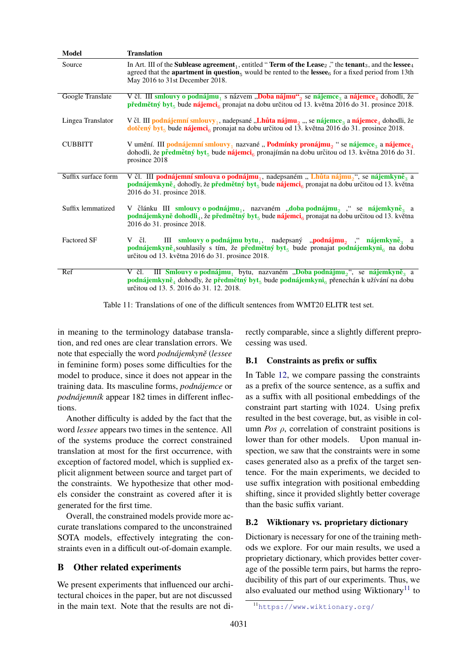<span id="page-12-2"></span>

| Model               | <b>Translation</b>                                                                                                                                                                                                                                                                                                                                    |
|---------------------|-------------------------------------------------------------------------------------------------------------------------------------------------------------------------------------------------------------------------------------------------------------------------------------------------------------------------------------------------------|
| Source              | In Art. III of the <b>Sublease agreement</b> , entitled " <b>Term of the Lease</b> <sub>2</sub> ," the <b>tenant</b> <sub>3</sub> , and the <b>lessee</b> <sub>4</sub><br>agreed that the <b>apartment in question</b> <sub>5</sub> would be rented to the <b>lessee</b> <sup>6</sup> for a fixed period from 13th<br>May 2016 to 31st December 2018. |
| Google Translate    | V čl. III smlouvy o podnájmu <sub>1</sub> s názvem "Doba nájmu" <sub>2</sub> se nájemce <sub>3</sub> a nájemce <sub>4</sub> dohodli, že<br><b>předmětný byt</b> <sub>5</sub> bude <b>nájemci</b> <sub>6</sub> pronajat na dobu určitou od 13. května 2016 do 31. prosince 2018.                                                                       |
| Lingea Translator   | V čl. III podnájemní smlouvy <sub>1</sub> , nadepsané "Lhůta nájmu <sub>2</sub> ", se nájemce <sub>a</sub> a nájemce <sub>4</sub> dohodli, že<br>dotčený byt <sub>5</sub> bude nájemci <sub>6</sub> pronajat na dobu určitou od 13. května 2016 do 31. prosince 2018.                                                                                 |
| <b>CUBBITT</b>      | V umění. III podnájemní smlouvy <sub>1</sub> nazvané " <b>Podmínky pronájmu</b> <sub>2</sub> " se nájemce <sub>3</sub> a nájemce <sub>4</sub><br>dohodli, že předmětný byt <sub>5</sub> bude nájemci <sub>6</sub> pronajímán na dobu určitou od 13. května 2016 do 31.<br>prosince 2018                                                               |
| Suffix surface form | V čl. III podnájemní smlouva o podnájmu, nadepsaném "Lhůta nájmu,", se nájemkyně, a<br>podnájemkyně <sub>4</sub> dohodly, že předmětný byt <sub>5</sub> bude nájemci <sub>6</sub> pronajat na dobu určitou od 13. května<br>2016 do 31. prosince 2018.                                                                                                |
| Suffix lemmatized   | V článku III smlouvy o podnájmu <sub>1</sub> , nazvaném "doba podnájmu <sub>2</sub> " se nájemkyně <sub>a</sub> a<br>podnájemkyně dohodli <sub>a</sub> , že předmětný byt <sub>s</sub> bude nájemci <sub>6</sub> pronajat na dobu určitou od 13. května<br>2016 do 31. prosince 2018.                                                                 |
| <b>Factored SF</b>  | III smlouvy o podnájmu bytu <sub>1</sub> , nadepsaný "podnájmu <sub>2</sub> " nájemkyně <sub>3</sub> a<br>Včl.<br>podnájemkyně <sub>4</sub> souhlasily s tím, že předmětný byt <sub>5</sub> bude pronajat podnájemkyni <sub>6</sub> na dobu<br>určitou od 13. května 2016 do 31. prosince 2018.                                                       |
| Ref                 | III Smlouvy o podnájmu, bytu, nazvaném "Doba podnájmu <sub>o</sub> ", se nájemkyně <sub>a</sub> a<br>Včl.<br>podnájemkyně <sub>4</sub> dohodly, že předmětný byt <sub>5</sub> bude podnájemkyni <sub>6</sub> přenechán k užívání na dobu<br>určitou od 13. 5. 2016 do 31. 12. 2018.                                                                   |

Table 11: Translations of one of the difficult sentences from WMT20 ELITR test set.

in meaning to the terminology database translation, and red ones are clear translation errors. We note that especially the word *podnájemkynˇe* (*lessee* in feminine form) poses some difficulties for the model to produce, since it does not appear in the training data. Its masculine forms, *podnájemce* or *podnájemník* appear 182 times in different inflections.

Another difficulty is added by the fact that the word *lessee* appears two times in the sentence. All of the systems produce the correct constrained translation at most for the first occurrence, with exception of factored model, which is supplied explicit alignment between source and target part of the constraints. We hypothesize that other models consider the constraint as covered after it is generated for the first time.

Overall, the constrained models provide more accurate translations compared to the unconstrained SOTA models, effectively integrating the constraints even in a difficult out-of-domain example.

## <span id="page-12-0"></span>B Other related experiments

We present experiments that influenced our architectural choices in the paper, but are not discussed in the main text. Note that the results are not directly comparable, since a slightly different preprocessing was used.

## B.1 Constraints as prefix or suffix

In Table [12,](#page-13-0) we compare passing the constraints as a prefix of the source sentence, as a suffix and as a suffix with all positional embeddings of the constraint part starting with 1024. Using prefix resulted in the best coverage, but, as visible in column *Pos*  $\rho$ , correlation of constraint positions is lower than for other models. Upon manual inspection, we saw that the constraints were in some cases generated also as a prefix of the target sentence. For the main experiments, we decided to use suffix integration with positional embedding shifting, since it provided slightly better coverage than the basic suffix variant.

## <span id="page-12-1"></span>B.2 Wiktionary vs. proprietary dictionary

Dictionary is necessary for one of the training methods we explore. For our main results, we used a proprietary dictionary, which provides better coverage of the possible term pairs, but harms the reproducibility of this part of our experiments. Thus, we also evaluated our method using Wiktionary<sup>[11](#page-12-3)</sup> to

<span id="page-12-3"></span><sup>11</sup><https://www.wiktionary.org/>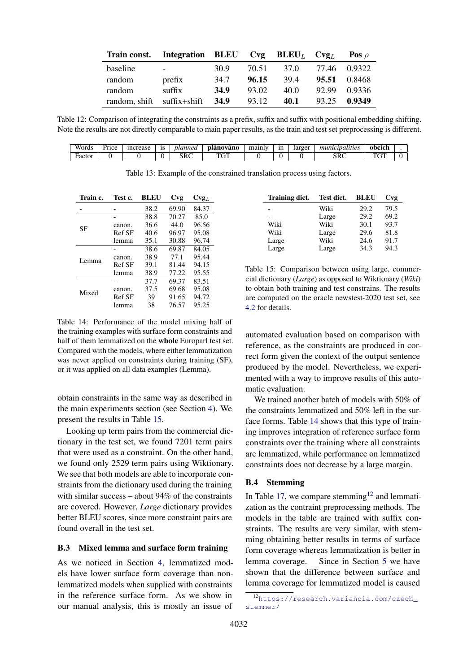<span id="page-13-0"></span>

| Train const. Integration BLEU Cvg BLEU <sub>L</sub> Cvg <sub>L</sub> |                   |             |       |      |       | Pos $\rho$   |
|----------------------------------------------------------------------|-------------------|-------------|-------|------|-------|--------------|
| baseline                                                             | $\sim$ 100 $\sim$ | 30 9        | 70.51 | 37.0 |       | 77.46 0.9322 |
| random                                                               | prefix            | 34.7        | 96.15 | 39.4 | 95.51 | 0.8468       |
| random                                                               | suffix            | 34.9        | 93.02 | 40.0 | 92.99 | 0.9336       |
| random, shift                                                        | suffix+shift      | <b>34.9</b> | 93.12 | 40.1 | 93.25 | 0.9349       |

Table 12: Comparison of integrating the constraints as a prefix, suffix and suffix with positional embedding shifting. Note the results are not directly comparable to main paper results, as the train and test set preprocessing is different.

<span id="page-13-4"></span>

| <b>TTT</b><br>Words | Price | <i>ncrease</i> | 1S | vlannea    | novano<br>plano | mainly | 1n | larger | alities<br>muni.<br>ına | obcich            |  |
|---------------------|-------|----------------|----|------------|-----------------|--------|----|--------|-------------------------|-------------------|--|
| Factor              |       |                | ∼  | CDC<br>элс | T T T T<br>U1   |        |    |        | $\alpha$<br>экс         | $T^{\prime}$<br>ີ |  |

Table 13: Example of the constrained translation process using factors.

<span id="page-13-2"></span>

| Train c. | Test c. | <b>BLEU</b> | Cvg   | $\text{Cvg}_L$ |
|----------|---------|-------------|-------|----------------|
|          |         | 38.2        | 69.90 | 84.37          |
|          |         | 38.8        | 70.27 | 85.0           |
| SF       | canon.  | 36.6        | 44.0  | 96.56          |
|          | Ref SF  | 40.6        | 96.97 | 95.08          |
|          | lemma   | 35.1        | 30.88 | 96.74          |
|          |         | 38.6        | 69.87 | 84.05          |
| Lemma    | canon.  | 38.9        | 77.1  | 95.44          |
|          | Ref SF  | 39.1        | 81.44 | 94.15          |
|          | lemma   | 38.9        | 77.22 | 95.55          |
|          |         | 37.7        | 69.37 | 83.51          |
| Mixed    | canon.  | 37.5        | 69.68 | 95.08          |
|          | Ref SF  | 39          | 91.65 | 94.72          |
|          | lemma   | 38          | 76.57 | 95.25          |

Table 14: Performance of the model mixing half of the training examples with surface form constraints and half of them lemmatized on the whole Europarl test set. Compared with the models, where either lemmatization was never applied on constraints during training (SF), or it was applied on all data examples (Lemma).

obtain constraints in the same way as described in the main experiments section (see Section [4\)](#page-3-6). We present the results in Table [15.](#page-13-1)

Looking up term pairs from the commercial dictionary in the test set, we found 7201 term pairs that were used as a constraint. On the other hand, we found only 2529 term pairs using Wiktionary. We see that both models are able to incorporate constraints from the dictionary used during the training with similar success – about 94% of the constraints are covered. However, *Large* dictionary provides better BLEU scores, since more constraint pairs are found overall in the test set.

## B.3 Mixed lemma and surface form training

As we noticed in Section [4,](#page-3-6) lemmatized models have lower surface form coverage than nonlemmatized models when supplied with constraints in the reference surface form. As we show in our manual analysis, this is mostly an issue of

<span id="page-13-1"></span>

| <b>Training dict.</b> | Test dict. | <b>BLEU</b> | Cvg  |
|-----------------------|------------|-------------|------|
|                       | Wiki       | 29.2        | 79.5 |
|                       | Large      | 29.2        | 69.2 |
| Wiki                  | Wiki       | 30.1        | 93.7 |
| Wiki                  | Large      | 29.6        | 81.8 |
| Large                 | Wiki       | 24.6        | 91.7 |
| Large                 | Large      | 34.3        | 94.3 |

Table 15: Comparison between using large, commercial dictionary (*Large*) as opposed to Wiktionary (*Wiki*) to obtain both training and test constrains. The results are computed on the oracle newstest-2020 test set, see [4.2](#page-3-7) for details.

automated evaluation based on comparison with reference, as the constraints are produced in correct form given the context of the output sentence produced by the model. Nevertheless, we experimented with a way to improve results of this automatic evaluation.

We trained another batch of models with 50% of the constraints lemmatized and 50% left in the surface forms. Table [14](#page-13-2) shows that this type of training improves integration of reference surface form constraints over the training where all constraints are lemmatized, while performance on lemmatized constraints does not decrease by a large margin.

#### B.4 Stemming

In Table [17,](#page-14-1) we compare stemming<sup>[12](#page-13-3)</sup> and lemmatization as the contraint preprocessing methods. The models in the table are trained with suffix constraints. The results are very similar, with stemming obtaining better results in terms of surface form coverage whereas lemmatization is better in lemma coverage. Since in Section [5](#page-7-0) we have shown that the difference between surface and lemma coverage for lemmatized model is caused

<span id="page-13-3"></span><sup>12</sup>[https://research.variancia.com/czech\\_](https://research.variancia.com/czech_stemmer/) [stemmer/](https://research.variancia.com/czech_stemmer/)